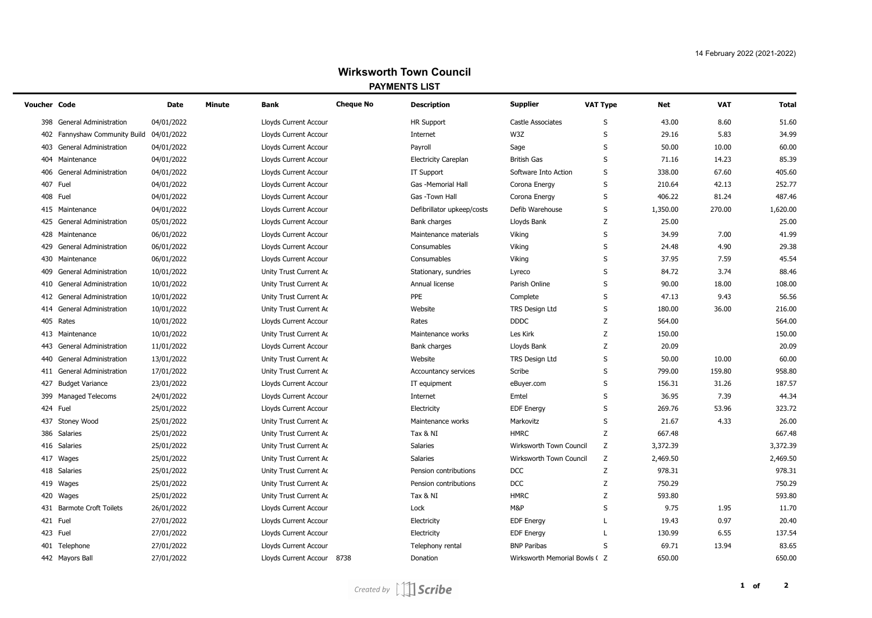| Voucher Code |                               | Date       | Minute | Bank                         | <b>Cheque No</b> | <b>Description</b>          | <b>Supplier</b>               | <b>VAT Type</b> | Net      | <b>VAT</b> | Total    |
|--------------|-------------------------------|------------|--------|------------------------------|------------------|-----------------------------|-------------------------------|-----------------|----------|------------|----------|
| 398          | <b>General Administration</b> | 04/01/2022 |        | <b>Lloyds Current Accour</b> |                  | <b>HR Support</b>           | <b>Castle Associates</b>      | S               | 43.00    | 8.60       | 51.60    |
| 402          | Fannyshaw Community Build     | 04/01/2022 |        | Lloyds Current Accour        |                  | Internet                    | W3Z                           | S               | 29.16    | 5.83       | 34.99    |
| 403          | <b>General Administration</b> | 04/01/2022 |        | Lloyds Current Accour        |                  | Payroll                     | Sage                          | S               | 50.00    | 10.00      | 60.00    |
| 404          | Maintenance                   | 04/01/2022 |        | Lloyds Current Accour        |                  | <b>Electricity Careplan</b> | <b>British Gas</b>            | S               | 71.16    | 14.23      | 85.39    |
| 406          | <b>General Administration</b> | 04/01/2022 |        | Lloyds Current Accour        |                  | <b>IT Support</b>           | Software Into Action          | S               | 338.00   | 67.60      | 405.60   |
|              | 407 Fuel                      | 04/01/2022 |        | Lloyds Current Accour        |                  | Gas -Memorial Hall          | Corona Energy                 | S               | 210.64   | 42.13      | 252.77   |
|              | 408 Fuel                      | 04/01/2022 |        | Lloyds Current Accour        |                  | Gas -Town Hall              | Corona Energy                 | S               | 406.22   | 81.24      | 487.46   |
|              | 415 Maintenance               | 04/01/2022 |        | Lloyds Current Accour        |                  | Defibrillator upkeep/costs  | Defib Warehouse               | S               | 1,350.00 | 270.00     | 1,620.00 |
|              | 425 General Administration    | 05/01/2022 |        | Lloyds Current Accour        |                  | Bank charges                | Lloyds Bank                   | Z               | 25.00    |            | 25.00    |
|              | 428 Maintenance               | 06/01/2022 |        | Lloyds Current Accour        |                  | Maintenance materials       | Viking                        | S               | 34.99    | 7.00       | 41.99    |
|              | 429 General Administration    | 06/01/2022 |        | Lloyds Current Accour        |                  | Consumables                 | Viking                        | S               | 24.48    | 4.90       | 29.38    |
|              | 430 Maintenance               | 06/01/2022 |        | Lloyds Current Accour        |                  | Consumables                 | Viking                        | S               | 37.95    | 7.59       | 45.54    |
| 409          | <b>General Administration</b> | 10/01/2022 |        | Unity Trust Current Ac       |                  | Stationary, sundries        | Lyreco                        | S               | 84.72    | 3.74       | 88.46    |
| 410          | <b>General Administration</b> | 10/01/2022 |        | Unity Trust Current Ac       |                  | Annual license              | Parish Online                 | S               | 90.00    | 18.00      | 108.00   |
|              | 412 General Administration    | 10/01/2022 |        | Unity Trust Current Ac       |                  | PPE                         | Complete                      | $\sf S$         | 47.13    | 9.43       | 56.56    |
| 414          | <b>General Administration</b> | 10/01/2022 |        | Unity Trust Current Ac       |                  | Website                     | TRS Design Ltd                | S               | 180.00   | 36.00      | 216.00   |
|              | 405 Rates                     | 10/01/2022 |        | Lloyds Current Accour        |                  | Rates                       | <b>DDDC</b>                   | Z               | 564.00   |            | 564.00   |
| 413          | Maintenance                   | 10/01/2022 |        | Unity Trust Current Ac       |                  | Maintenance works           | Les Kirk                      | Z               | 150.00   |            | 150.00   |
| 443          | <b>General Administration</b> | 11/01/2022 |        | Lloyds Current Accour        |                  | Bank charges                | Lloyds Bank                   | Z               | 20.09    |            | 20.09    |
| 440          | <b>General Administration</b> | 13/01/2022 |        | Unity Trust Current Ac       |                  | Website                     | TRS Design Ltd                | $\sf S$         | 50.00    | 10.00      | 60.00    |
| 411          | <b>General Administration</b> | 17/01/2022 |        | Unity Trust Current Ac       |                  | Accountancy services        | Scribe                        | S               | 799.00   | 159.80     | 958.80   |
| 427          | <b>Budget Variance</b>        | 23/01/2022 |        | Lloyds Current Accour        |                  | IT equipment                | eBuyer.com                    | S               | 156.31   | 31.26      | 187.57   |
|              | 399 Managed Telecoms          | 24/01/2022 |        | Lloyds Current Accour        |                  | Internet                    | Emtel                         | $\sf S$         | 36.95    | 7.39       | 44.34    |
|              | 424 Fuel                      | 25/01/2022 |        | Lloyds Current Accour        |                  | Electricity                 | <b>EDF Energy</b>             | $\sf S$         | 269.76   | 53.96      | 323.72   |
| 437          | <b>Stoney Wood</b>            | 25/01/2022 |        | Unity Trust Current Ac       |                  | Maintenance works           | Markovitz                     | S               | 21.67    | 4.33       | 26.00    |
|              | 386 Salaries                  | 25/01/2022 |        | Unity Trust Current Ac       |                  | Tax & NI                    | <b>HMRC</b>                   | Z               | 667.48   |            | 667.48   |
|              | 416 Salaries                  | 25/01/2022 |        | Unity Trust Current Ac       |                  | <b>Salaries</b>             | Wirksworth Town Council       | Z               | 3,372.39 |            | 3,372.39 |
|              | 417 Wages                     | 25/01/2022 |        | Unity Trust Current Ac       |                  | <b>Salaries</b>             | Wirksworth Town Council       | Z               | 2,469.50 |            | 2,469.50 |
|              | 418 Salaries                  | 25/01/2022 |        | Unity Trust Current Ac       |                  | Pension contributions       | <b>DCC</b>                    | Z               | 978.31   |            | 978.31   |
|              | 419 Wages                     | 25/01/2022 |        | Unity Trust Current Ac       |                  | Pension contributions       | <b>DCC</b>                    | Z               | 750.29   |            | 750.29   |
|              | 420 Wages                     | 25/01/2022 |        | Unity Trust Current Ac       |                  | Tax & NI                    | <b>HMRC</b>                   | Z               | 593.80   |            | 593.80   |
|              | 431 Barmote Croft Toilets     | 26/01/2022 |        | Lloyds Current Accour        |                  | Lock                        | M&P                           | S               | 9.75     | 1.95       | 11.70    |
|              | 421 Fuel                      | 27/01/2022 |        | Lloyds Current Accour        |                  | Electricity                 | <b>EDF Energy</b>             | L               | 19.43    | 0.97       | 20.40    |
|              | 423 Fuel                      | 27/01/2022 |        | Lloyds Current Accour        |                  | Electricity                 | <b>EDF Energy</b>             |                 | 130.99   | 6.55       | 137.54   |
|              | 401 Telephone                 | 27/01/2022 |        | <b>Lloyds Current Accour</b> |                  | Telephony rental            | <b>BNP Paribas</b>            | S               | 69.71    | 13.94      | 83.65    |
|              | 442 Mayors Ball               | 27/01/2022 |        | Lloyds Current Accour 8738   |                  | Donation                    | Wirksworth Memorial Bowls ( Z |                 | 650.00   |            | 650.00   |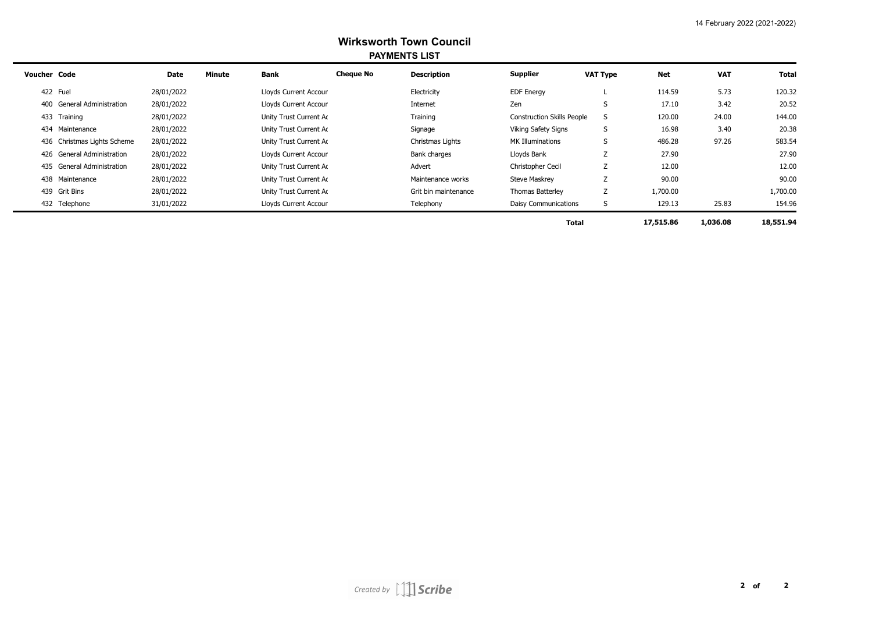| <b>Voucher Code</b> |                             | <b>Date</b> | <b>Minute</b> | Bank                   | <b>Cheque No</b> | <b>Description</b>   | Supplier                          | <b>VAT Type</b> | <b>Net</b> | <b>VAT</b> | Total     |  |
|---------------------|-----------------------------|-------------|---------------|------------------------|------------------|----------------------|-----------------------------------|-----------------|------------|------------|-----------|--|
|                     | 422 Fuel                    | 28/01/2022  |               | Lloyds Current Accour  |                  | Electricity          | <b>EDF Energy</b>                 |                 | 114.59     | 5.73       | 120.32    |  |
|                     | 400 General Administration  | 28/01/2022  |               | Lloyds Current Accour  |                  | Internet             | Zen                               |                 | 17.10      | 3.42       | 20.52     |  |
|                     | 433 Training                | 28/01/2022  |               | Unity Trust Current Ac |                  | Training             | <b>Construction Skills People</b> | S               | 120.00     | 24.00      | 144.00    |  |
|                     | 434 Maintenance             | 28/01/2022  |               | Unity Trust Current Ac |                  | Signage              | Viking Safety Signs               | S               | 16.98      | 3.40       | 20.38     |  |
|                     | 436 Christmas Lights Scheme | 28/01/2022  |               | Unity Trust Current Ac |                  | Christmas Lights     | <b>MK Illuminations</b>           | S               | 486.28     | 97.26      | 583.54    |  |
|                     | 426 General Administration  | 28/01/2022  |               | Lloyds Current Accour  |                  | Bank charges         | Lloyds Bank                       |                 | 27.90      |            | 27.90     |  |
|                     | 435 General Administration  | 28/01/2022  |               | Unity Trust Current Ac |                  | Advert               | Christopher Cecil                 |                 | 12.00      |            | 12.00     |  |
|                     | 438 Maintenance             | 28/01/2022  |               | Unity Trust Current Ac |                  | Maintenance works    | <b>Steve Maskrey</b>              |                 | 90.00      |            | 90.00     |  |
|                     | 439 Grit Bins               | 28/01/2022  |               | Unity Trust Current Ac |                  | Grit bin maintenance | Thomas Batterley                  | Z               | 1,700.00   |            | 1,700.00  |  |
|                     | 432 Telephone               | 31/01/2022  |               | Lloyds Current Accour  |                  | Telephony            | Daisy Communications              | S               | 129.13     | 25.83      | 154.96    |  |
|                     |                             |             |               |                        |                  |                      | <b>Total</b>                      |                 | 17,515.86  | 1,036.08   | 18,551.94 |  |

Created by  $\iiint$  Scribe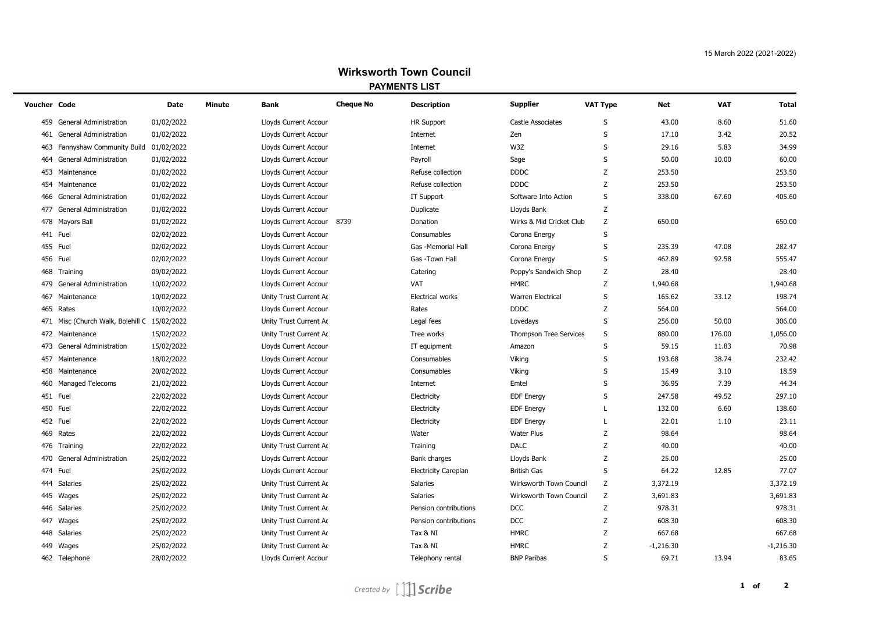| Voucher Code |                                              | <b>Date</b> | Minute | Bank                         | <b>Cheque No</b> | <b>Description</b>          | <b>Supplier</b>               | VAT Type     | Net         | <b>VAT</b> | <b>Total</b> |
|--------------|----------------------------------------------|-------------|--------|------------------------------|------------------|-----------------------------|-------------------------------|--------------|-------------|------------|--------------|
| 459          | <b>General Administration</b>                | 01/02/2022  |        | Lloyds Current Accour        |                  | <b>HR Support</b>           | Castle Associates             | S            | 43.00       | 8.60       | 51.60        |
| 461          | <b>General Administration</b>                | 01/02/2022  |        | Lloyds Current Accour        |                  | Internet                    | Zen                           | S            | 17.10       | 3.42       | 20.52        |
| 463          | Fannyshaw Community Build 01/02/2022         |             |        | Lloyds Current Accour        |                  | Internet                    | W3Z                           | S            | 29.16       | 5.83       | 34.99        |
| 464          | General Administration                       | 01/02/2022  |        | Lloyds Current Accour        |                  | Payroll                     | Sage                          | S            | 50.00       | 10.00      | 60.00        |
| 453          | Maintenance                                  | 01/02/2022  |        | Lloyds Current Accour        |                  | Refuse collection           | <b>DDDC</b>                   | Z            | 253.50      |            | 253.50       |
| 454          | Maintenance                                  | 01/02/2022  |        | Lloyds Current Accour        |                  | Refuse collection           | <b>DDDC</b>                   | Z            | 253.50      |            | 253.50       |
| 466          | <b>General Administration</b>                | 01/02/2022  |        | Lloyds Current Accour        |                  | IT Support                  | Software Into Action          | S            | 338.00      | 67.60      | 405.60       |
| 477          | <b>General Administration</b>                | 01/02/2022  |        | Lloyds Current Accour        |                  | Duplicate                   | Lloyds Bank                   | z            |             |            |              |
| 478          | <b>Mayors Ball</b>                           | 01/02/2022  |        | Lloyds Current Accour 8739   |                  | Donation                    | Wirks & Mid Cricket Club      | Z            | 650.00      |            | 650.00       |
|              | 441 Fuel                                     | 02/02/2022  |        | Lloyds Current Accour        |                  | Consumables                 | Corona Energy                 | S            |             |            |              |
| 455          | Fuel                                         | 02/02/2022  |        | Lloyds Current Accour        |                  | Gas -Memorial Hall          | Corona Energy                 | S            | 235.39      | 47.08      | 282.47       |
|              | 456 Fuel                                     | 02/02/2022  |        | Lloyds Current Accour        |                  | Gas -Town Hall              | Corona Energy                 | S            | 462.89      | 92.58      | 555.47       |
| 468          | Training                                     | 09/02/2022  |        | Lloyds Current Accour        |                  | Catering                    | Poppy's Sandwich Shop         | $\mathsf Z$  | 28.40       |            | 28.40        |
| 479          | <b>General Administration</b>                | 10/02/2022  |        | Lloyds Current Accour        |                  | VAT                         | <b>HMRC</b>                   | Z            | 1,940.68    |            | 1,940.68     |
| 467          | Maintenance                                  | 10/02/2022  |        | Unity Trust Current Ac       |                  | <b>Electrical works</b>     | <b>Warren Electrical</b>      | S            | 165.62      | 33.12      | 198.74       |
|              | 465 Rates                                    | 10/02/2022  |        | Lloyds Current Accour        |                  | Rates                       | <b>DDDC</b>                   | Z            | 564.00      |            | 564.00       |
|              | 471 Misc (Church Walk, Bolehill C 15/02/2022 |             |        | Unity Trust Current Ac       |                  | Legal fees                  | Lovedays                      | S            | 256.00      | 50.00      | 306.00       |
|              | 472 Maintenance                              | 15/02/2022  |        | Unity Trust Current Ac       |                  | Tree works                  | <b>Thompson Tree Services</b> | S            | 880.00      | 176.00     | 1,056.00     |
| 473          | <b>General Administration</b>                | 15/02/2022  |        | Lloyds Current Accour        |                  | IT equipment                | Amazon                        | S            | 59.15       | 11.83      | 70.98        |
|              | 457 Maintenance                              | 18/02/2022  |        | Lloyds Current Accour        |                  | Consumables                 | Viking                        | S            | 193.68      | 38.74      | 232.42       |
|              | 458 Maintenance                              | 20/02/2022  |        | Lloyds Current Accour        |                  | Consumables                 | Viking                        | S            | 15.49       | 3.10       | 18.59        |
|              | 460 Managed Telecoms                         | 21/02/2022  |        | Lloyds Current Accour        |                  | Internet                    | Emtel                         | $\sf S$      | 36.95       | 7.39       | 44.34        |
|              | 451 Fuel                                     | 22/02/2022  |        | Lloyds Current Accour        |                  | Electricity                 | <b>EDF</b> Energy             | S            | 247.58      | 49.52      | 297.10       |
|              | 450 Fuel                                     | 22/02/2022  |        | Lloyds Current Accour        |                  | Electricity                 | <b>EDF Energy</b>             | L            | 132.00      | 6.60       | 138.60       |
|              | 452 Fuel                                     | 22/02/2022  |        | Lloyds Current Accour        |                  | Electricity                 | <b>EDF Energy</b>             | L            | 22.01       | 1.10       | 23.11        |
| 469          | Rates                                        | 22/02/2022  |        | Lloyds Current Accour        |                  | Water                       | Water Plus                    | Z            | 98.64       |            | 98.64        |
|              | 476 Training                                 | 22/02/2022  |        | Unity Trust Current Ac       |                  | Training                    | <b>DALC</b>                   | Ζ            | 40.00       |            | 40.00        |
| 470          | <b>General Administration</b>                | 25/02/2022  |        | Lloyds Current Accour        |                  | Bank charges                | Lloyds Bank                   | Z            | 25.00       |            | 25.00        |
|              | 474 Fuel                                     | 25/02/2022  |        | Lloyds Current Accour        |                  | <b>Electricity Careplan</b> | <b>British Gas</b>            | S            | 64.22       | 12.85      | 77.07        |
| 444          | Salaries                                     | 25/02/2022  |        | Unity Trust Current Ac       |                  | Salaries                    | Wirksworth Town Council       | Z            | 3,372.19    |            | 3,372.19     |
|              | 445 Wages                                    | 25/02/2022  |        | Unity Trust Current Ac       |                  | Salaries                    | Wirksworth Town Council       | Z            | 3,691.83    |            | 3,691.83     |
|              | 446 Salaries                                 | 25/02/2022  |        | Unity Trust Current Ac       |                  | Pension contributions       | <b>DCC</b>                    | Ζ            | 978.31      |            | 978.31       |
|              | 447 Wages                                    | 25/02/2022  |        | Unity Trust Current Ac       |                  | Pension contributions       | <b>DCC</b>                    | Ζ            | 608.30      |            | 608.30       |
|              | 448 Salaries                                 | 25/02/2022  |        | Unity Trust Current Ac       |                  | Tax & NI                    | <b>HMRC</b>                   | Z            | 667.68      |            | 667.68       |
|              | 449 Wages                                    | 25/02/2022  |        | Unity Trust Current Ac       |                  | Tax & NI                    | <b>HMRC</b>                   | Z            | $-1,216.30$ |            | $-1,216.30$  |
|              | 462 Telephone                                | 28/02/2022  |        | <b>Lloyds Current Accour</b> |                  | Telephony rental            | <b>BNP Paribas</b>            | $\mathsf{S}$ | 69.71       | 13.94      | 83.65        |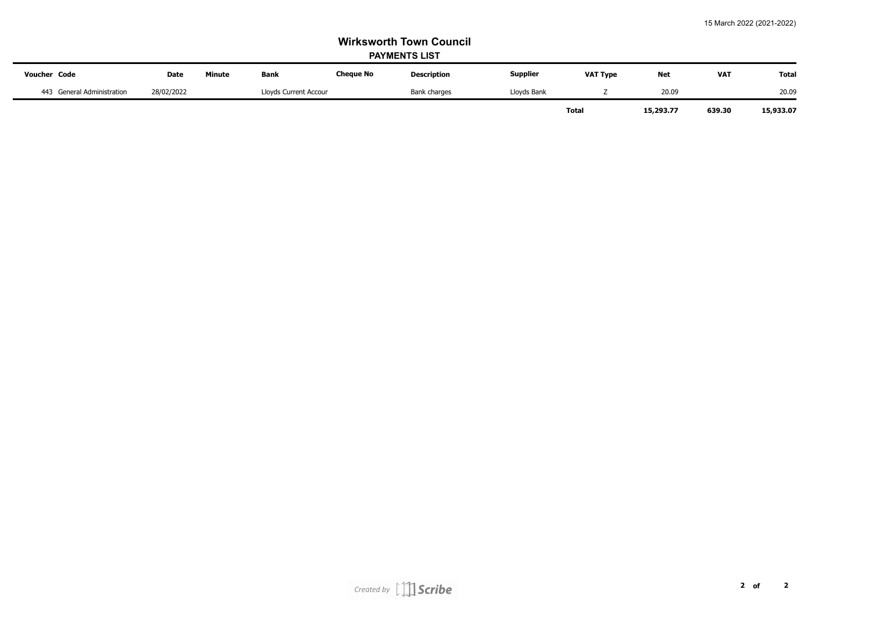| <b>Voucher Code</b>        | <b>Date</b> | Minute | <b>Bank</b>           | <b>Cheque No</b> | <b>Description</b> | <b>Supplier</b> | <b>VAT Type</b>           | <b>Net</b> | <b>VAT</b> | <b>Total</b> |
|----------------------------|-------------|--------|-----------------------|------------------|--------------------|-----------------|---------------------------|------------|------------|--------------|
| 443 General Administration | 28/02/2022  |        | Lloyds Current Accour |                  | Bank charges       | Lloyds Bank     |                           | 20.09      |            | 20.09        |
|                            |             |        |                       |                  |                    |                 | <b>Total</b><br>15,293.77 |            | 639.30     | 15,933.07    |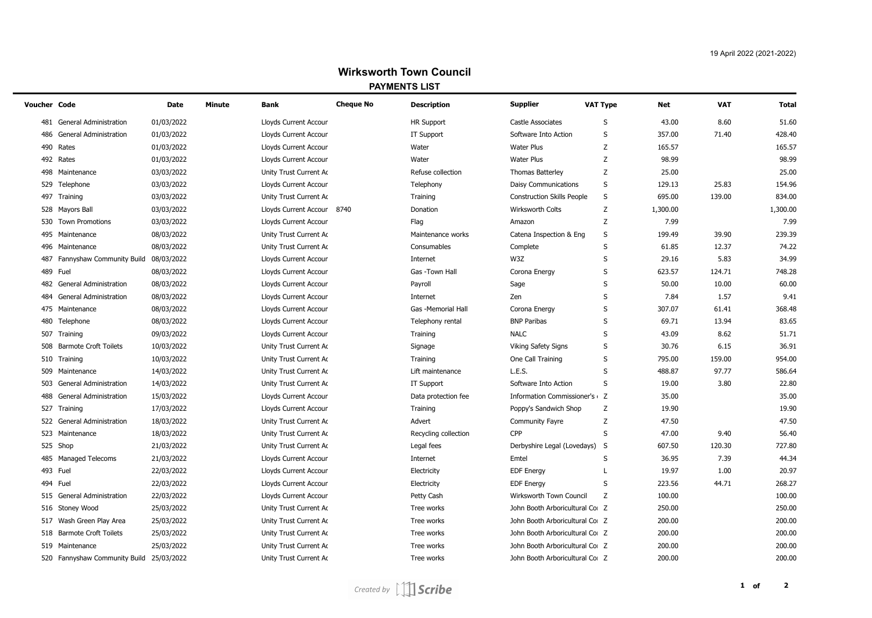| Voucher Code |                                          | <b>Date</b> | Minute | Bank                       | <b>Cheque No</b> | <b>Description</b>   | <b>Supplier</b>                   | <b>VAT Type</b> | <b>Net</b> | <b>VAT</b> | <b>Total</b> |
|--------------|------------------------------------------|-------------|--------|----------------------------|------------------|----------------------|-----------------------------------|-----------------|------------|------------|--------------|
| 481          | <b>General Administration</b>            | 01/03/2022  |        | Lloyds Current Accour      |                  | <b>HR Support</b>    | <b>Castle Associates</b>          | S               | 43.00      | 8.60       | 51.60        |
| 486          | <b>General Administration</b>            | 01/03/2022  |        | Lloyds Current Accour      |                  | <b>IT Support</b>    | Software Into Action              | S               | 357.00     | 71.40      | 428.40       |
| 490          | Rates                                    | 01/03/2022  |        | Lloyds Current Accour      |                  | Water                | <b>Water Plus</b>                 | Z               | 165.57     |            | 165.57       |
|              | 492 Rates                                | 01/03/2022  |        | Lloyds Current Accour      |                  | Water                | <b>Water Plus</b>                 | Z               | 98.99      |            | 98.99        |
|              | 498 Maintenance                          | 03/03/2022  |        | Unity Trust Current Ac     |                  | Refuse collection    | <b>Thomas Batterley</b>           | Z               | 25.00      |            | 25.00        |
|              | 529 Telephone                            | 03/03/2022  |        | Lloyds Current Accour      |                  | Telephony            | <b>Daisy Communications</b>       | $\sf S$         | 129.13     | 25.83      | 154.96       |
|              | 497 Training                             | 03/03/2022  |        | Unity Trust Current Ac     |                  | Training             | <b>Construction Skills People</b> | S               | 695.00     | 139.00     | 834.00       |
|              | 528 Mayors Ball                          | 03/03/2022  |        | Lloyds Current Accour 8740 |                  | Donation             | <b>Wirksworth Colts</b>           | Z               | 1,300.00   |            | 1,300.00     |
|              | 530 Town Promotions                      | 03/03/2022  |        | Lloyds Current Accour      |                  | Flag                 | Amazon                            | Z               | 7.99       |            | 7.99         |
|              | 495 Maintenance                          | 08/03/2022  |        | Unity Trust Current Ac     |                  | Maintenance works    | Catena Inspection & Eng           | S               | 199.49     | 39.90      | 239.39       |
|              | 496 Maintenance                          | 08/03/2022  |        | Unity Trust Current Ac     |                  | Consumables          | Complete                          | $\sf S$         | 61.85      | 12.37      | 74.22        |
| 487          | Fannyshaw Community Build                | 08/03/2022  |        | Lloyds Current Accour      |                  | Internet             | W3Z                               | S               | 29.16      | 5.83       | 34.99        |
|              | 489 Fuel                                 | 08/03/2022  |        | Lloyds Current Accour      |                  | Gas -Town Hall       | Corona Energy                     | S               | 623.57     | 124.71     | 748.28       |
|              | 482 General Administration               | 08/03/2022  |        | Lloyds Current Accour      |                  | Payroll              | Sage                              | S               | 50.00      | 10.00      | 60.00        |
| 484          | General Administration                   | 08/03/2022  |        | Lloyds Current Accour      |                  | Internet             | Zen                               | S               | 7.84       | 1.57       | 9.41         |
|              | 475 Maintenance                          | 08/03/2022  |        | Lloyds Current Accour      |                  | Gas -Memorial Hall   | Corona Energy                     | $\sf S$         | 307.07     | 61.41      | 368.48       |
|              | 480 Telephone                            | 08/03/2022  |        | Lloyds Current Accour      |                  | Telephony rental     | <b>BNP Paribas</b>                | S               | 69.71      | 13.94      | 83.65        |
|              | 507 Training                             | 09/03/2022  |        | Lloyds Current Accour      |                  | Training             | <b>NALC</b>                       | S               | 43.09      | 8.62       | 51.71        |
|              | 508 Barmote Croft Toilets                | 10/03/2022  |        | Unity Trust Current Ac     |                  | Signage              | <b>Viking Safety Signs</b>        | S               | 30.76      | 6.15       | 36.91        |
|              | 510 Training                             | 10/03/2022  |        | Unity Trust Current Ac     |                  | Training             | One Call Training                 | S               | 795.00     | 159.00     | 954.00       |
|              | 509 Maintenance                          | 14/03/2022  |        | Unity Trust Current Ac     |                  | Lift maintenance     | L.E.S.                            | S               | 488.87     | 97.77      | 586.64       |
|              | 503 General Administration               | 14/03/2022  |        | Unity Trust Current Ac     |                  | <b>IT Support</b>    | Software Into Action              | S               | 19.00      | 3.80       | 22.80        |
| 488          | <b>General Administration</b>            | 15/03/2022  |        | Lloyds Current Accour      |                  | Data protection fee  | Information Commissioner's 2      |                 | 35.00      |            | 35.00        |
|              | 527 Training                             | 17/03/2022  |        | Lloyds Current Accour      |                  | Training             | Poppy's Sandwich Shop             | Z               | 19.90      |            | 19.90        |
|              | 522 General Administration               | 18/03/2022  |        | Unity Trust Current Ac     |                  | Advert               | <b>Community Fayre</b>            | Z               | 47.50      |            | 47.50        |
|              | 523 Maintenance                          | 18/03/2022  |        | Unity Trust Current Ac     |                  | Recycling collection | CPP                               | S               | 47.00      | 9.40       | 56.40        |
|              | 525 Shop                                 | 21/03/2022  |        | Unity Trust Current Ac     |                  | Legal fees           | Derbyshire Legal (Lovedays)       | S               | 607.50     | 120.30     | 727.80       |
|              | 485 Managed Telecoms                     | 21/03/2022  |        | Lloyds Current Accour      |                  | Internet             | Emtel                             | S               | 36.95      | 7.39       | 44.34        |
|              | 493 Fuel                                 | 22/03/2022  |        | Lloyds Current Accour      |                  | Electricity          | <b>EDF Energy</b>                 | L               | 19.97      | 1.00       | 20.97        |
|              | 494 Fuel                                 | 22/03/2022  |        | Lloyds Current Accour      |                  | Electricity          | <b>EDF Energy</b>                 | S               | 223.56     | 44.71      | 268.27       |
|              | 515 General Administration               | 22/03/2022  |        | Lloyds Current Accour      |                  | Petty Cash           | Wirksworth Town Council           | Z               | 100.00     |            | 100.00       |
|              | 516 Stoney Wood                          | 25/03/2022  |        | Unity Trust Current Ac     |                  | Tree works           | John Booth Arboricultural Co Z    |                 | 250.00     |            | 250.00       |
|              | 517 Wash Green Play Area                 | 25/03/2022  |        | Unity Trust Current Ac     |                  | Tree works           | John Booth Arboricultural Co Z    |                 | 200.00     |            | 200.00       |
|              | 518 Barmote Croft Toilets                | 25/03/2022  |        | Unity Trust Current Ac     |                  | Tree works           | John Booth Arboricultural Co Z    |                 | 200.00     |            | 200.00       |
|              | 519 Maintenance                          | 25/03/2022  |        | Unity Trust Current Ac     |                  | Tree works           | John Booth Arboricultural Co Z    |                 | 200.00     |            | 200.00       |
|              | 520 Fannyshaw Community Build 25/03/2022 |             |        | Unity Trust Current Ac     |                  | Tree works           | John Booth Arboricultural Co Z    |                 | 200.00     |            | 200.00       |